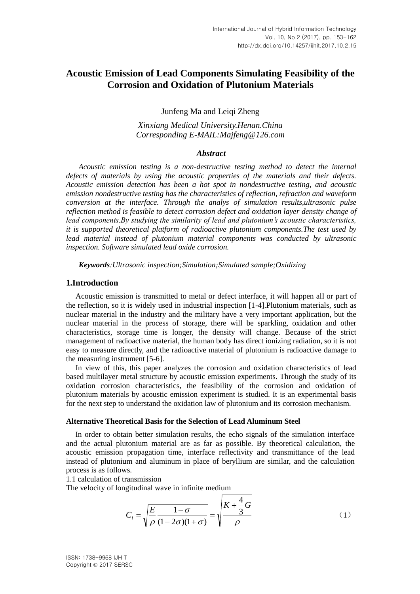# **Acoustic Emission of Lead Components Simulating Feasibility of the Corrosion and Oxidation of Plutonium Materials**

Junfeng Ma and Leiqi Zheng

*Xinxiang Medical University.Henan.China Corresponding E-MAIL:Majfeng@126.com*

#### *Abstract*

*Acoustic emission testing is a non-destructive testing method to detect the internal defects of materials by using the acoustic properties of the materials and their defects. Acoustic emission detection has been a hot spot in nondestructive testing, and acoustic emission nondestructive testing has the characteristics of reflection, refraction and waveform conversion at the interface. Through the analys of simulation results,ultrasonic pulse reflection method is feasible to detect corrosion defect and oxidation layer density change of lead components.By studying the similarity of lead and plutonium's acoustic characteristics, it is supported theoretical platform of radioactive plutonium components.The test used by lead material instead of plutonium material components was conducted by ultrasonic inspection. Software simulated lead oxide corrosion.*

*Keywords:Ultrasonic inspection;Simulation;Simulated sample;Oxidizing*

#### **1.Introduction**

Acoustic emission is transmitted to metal or defect interface, it will happen all or part of the reflection, so it is widely used in industrial inspection [1-4].Plutonium materials, such as nuclear material in the industry and the military have a very important application, but the nuclear material in the process of storage, there will be sparkling, oxidation and other characteristics, storage time is longer, the density will change. Because of the strict management of radioactive material, the human body has direct ionizing radiation, so it is not easy to measure directly, and the radioactive material of plutonium is radioactive damage to the measuring instrument [5-6].

In view of this, this paper analyzes the corrosion and oxidation characteristics of lead based multilayer metal structure by acoustic emission experiments. Through the study of its oxidation corrosion characteristics, the feasibility of the corrosion and oxidation of plutonium materials by acoustic emission experiment is studied. It is an experimental basis for the next step to understand the oxidation law of plutonium and its corrosion mechanism.

#### **Alternative Theoretical Basis for the Selection of Lead Aluminum Steel**

In order to obtain better simulation results, the echo signals of the simulation interface and the actual plutonium material are as far as possible. By theoretical calculation, the acoustic emission propagation time, interface reflectivity and transmittance of the lead instead of plutonium and aluminum in place of beryllium are similar, and the calculation process is as follows.

1.1 calculation of transmission

The velocity of longitudinal wave in infinite medium

$$
C_{l} = \sqrt{\frac{E}{\rho} \frac{1-\sigma}{(1-2\sigma)(1+\sigma)}} = \sqrt{\frac{K + \frac{4}{3}G}{\rho}}
$$
(1)

ISSN: 1738-9968 IJHIT Copyright © 2017 SERSC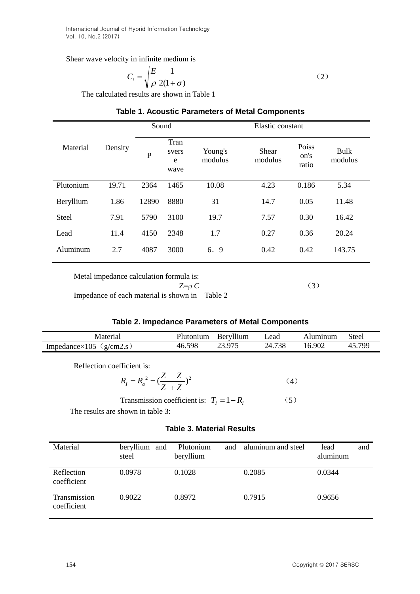## Shear wave velocity in infinite medium is

$$
C_t = \sqrt{\frac{E}{\rho} \frac{1}{2(1+\sigma)}}\tag{2}
$$

The calculated results are shown in Table 1

# **Table 1. Acoustic Parameters of Metal Components**

| Material                                                       | Density | Sound     |                            |                    | Elastic constant |                        |                        |
|----------------------------------------------------------------|---------|-----------|----------------------------|--------------------|------------------|------------------------|------------------------|
|                                                                |         | ${\bf P}$ | Tran<br>svers<br>e<br>wave | Young's<br>modulus | Shear<br>modulus | Poiss<br>on's<br>ratio | <b>Bulk</b><br>modulus |
| Plutonium                                                      | 19.71   | 2364      | 1465                       | 10.08              | 4.23             | 0.186                  | 5.34                   |
| Beryllium                                                      | 1.86    | 12890     | 8880                       | 31                 | 14.7             | 0.05                   | 11.48                  |
| <b>Steel</b>                                                   | 7.91    | 5790      | 3100                       | 19.7               | 7.57             | 0.30                   | 16.42                  |
| Lead                                                           | 11.4    | 4150      | 2348                       | 1.7                | 0.27             | 0.36                   | 20.24                  |
| Aluminum                                                       | 2.7     | 4087      | 3000                       | 6. 9               | 0.42             | 0.42                   | 143.75                 |
| Metal impedance calculation formula is:<br>(2)<br>$7 - \alpha$ |         |           |                            |                    |                  |                        |                        |

 $Z=p C$  (3) Impedance of each material is shown in Table 2

# **Table 2. Impedance Parameters of Metal Components**

| Vlateria.                                    | 'lutonium     | Bervilium | ∟ead              | Alumınum | Steel        |
|----------------------------------------------|---------------|-----------|-------------------|----------|--------------|
| $Impedance \times 105$<br>$\sigma/cm \angle$ | 598<br>$-46.$ | 075       | 720<br>. ZL<br>эс | 902      | 700<br>$4 -$ |

Reflection coefficient is:

$$
R_{I} = R_{a}^{2} = (\frac{Z - Z}{Z + Z})^{2}
$$
 (4)

Transmission coefficient is:  $T_I = 1 - R_I$  (5)

The results are shown in table 3:

# **Table 3. Material Results**

| Material                    | beryllium and<br>steel | Plutonium<br>and<br>beryllium | aluminum and steel | lead<br>and<br>aluminum |
|-----------------------------|------------------------|-------------------------------|--------------------|-------------------------|
| Reflection<br>coefficient   | 0.0978                 | 0.1028                        | 0.2085             | 0.0344                  |
| Transmission<br>coefficient | 0.9022                 | 0.8972                        | 0.7915             | 0.9656                  |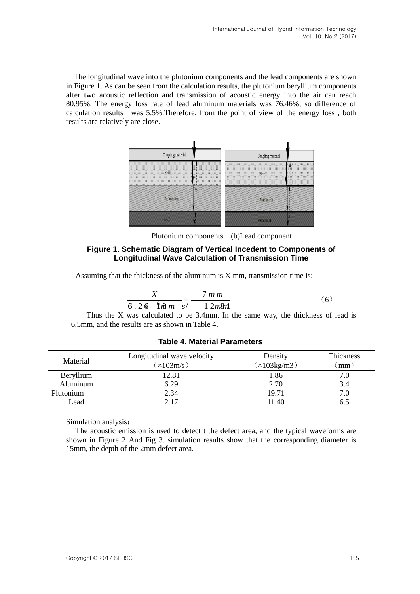The longitudinal wave into the plutonium components and the lead components are shown in Figure 1. As can be seen from the calculation results, the plutonium beryllium components after two acoustic reflection and transmission of acoustic energy into the air can reach 80.95%. The energy loss rate of lead aluminum materials was 76.46%, so difference of calculation results was 5.5%.Therefore, from the point of view of the energy loss , both results are relatively are close.



Plutonium components (b)Lead component

## **Figure 1. Schematic Diagram of Vertical Incedent to Components of Longitudinal Wave Calculation of Transmission Time**

Assuming that the thickness of the aluminum is X mm, transmission time is:

$$
\frac{X}{6.26 \text{ [h]} m} = \frac{7 \text{ m m}}{12 \text{ m} \text{m}} \tag{6}
$$

Thus the X was calculated to be 3.4mm. In the same way, the thickness of lead is 6.5mm, and the results are as shown in Table 4.

## **Table 4. Material Parameters**

|           | Longitudinal wave velocity | Density     | <b>Thickness</b> |  |
|-----------|----------------------------|-------------|------------------|--|
| Material  | (x103m/s)                  | (x103kg/m3) | $mm$ )           |  |
| Beryllium | 12.81                      | 1.86        | 7.0              |  |
| Aluminum  | 6.29                       | 2.70        | 3.4              |  |
| Plutonium | 2.34                       | 19.71       | 7.0              |  |
| Lead      | 2.17                       | 11.40       | 6.5              |  |

Simulation analysis:

The acoustic emission is used to detect t the defect area, and the typical waveforms are shown in Figure 2 And Fig 3. simulation results show that the corresponding diameter is 15mm, the depth of the 2mm defect area.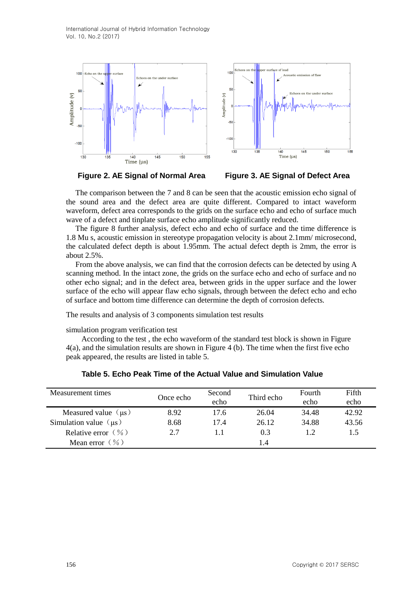

**Figure 2. AE Signal of Normal Area Figure 3. AE Signal of Defect Area**

The comparison between the 7 and 8 can be seen that the acoustic emission echo signal of the sound area and the defect area are quite different. Compared to intact waveform waveform, defect area corresponds to the grids on the surface echo and echo of surface much wave of a defect and tinplate surface echo amplitude significantly reduced.

The figure 8 further analysis, defect echo and echo of surface and the time difference is 1.8 Mu s, acoustic emission in stereotype propagation velocity is about 2.1mm/ microsecond, the calculated defect depth is about 1.95mm. The actual defect depth is 2mm, the error is about 2.5%.

From the above analysis, we can find that the corrosion defects can be detected by using A scanning method. In the intact zone, the grids on the surface echo and echo of surface and no other echo signal; and in the defect area, between grids in the upper surface and the lower surface of the echo will appear flaw echo signals, through between the defect echo and echo of surface and bottom time difference can determine the depth of corrosion defects.

The results and analysis of 3 components simulation test results

simulation program verification test

According to the test , the echo waveform of the standard test block is shown in Figure 4(a), and the simulation results are shown in Figure 4 (b). The time when the first five echo peak appeared, the results are listed in table 5.

| Measurement times          | Once echo | Second<br>echo | Third echo | Fourth<br>echo | Fifth<br>echo |
|----------------------------|-----------|----------------|------------|----------------|---------------|
| Measured value $(\mu s)$   | 8.92      | 17.6           | 26.04      | 34.48          | 42.92         |
| Simulation value $(\mu s)$ | 8.68      | 17.4           | 26.12      | 34.88          | 43.56         |
| Relative error $(\% )$     | 2.7       |                | 0.3        |                | 1.5           |
| Mean error $(\% )$         |           |                | l .4       |                |               |

**Table 5. Echo Peak Time of the Actual Value and Simulation Value**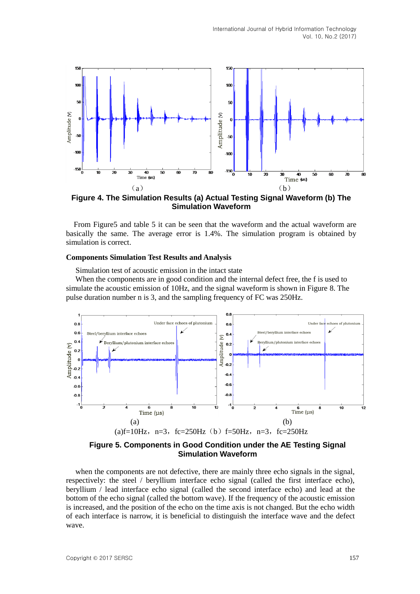

**Figure 4. The Simulation Results (a) Actual Testing Signal Waveform (b) The Simulation Waveform**

 From Figure5 and table 5 it can be seen that the waveform and the actual waveform are basically the same. The average error is 1.4%. The simulation program is obtained by simulation is correct.

#### **Components Simulation Test Results and Analysis**

Simulation test of acoustic emission in the intact state

When the components are in good condition and the internal defect free, the f is used to simulate the acoustic emission of 10Hz, and the signal waveform is shown in Figure 8. The pulse duration number n is 3, and the sampling frequency of FC was 250Hz.



**Figure 5. Components in Good Condition under the AE Testing Signal Simulation Waveform** 

when the components are not defective, there are mainly three echo signals in the signal, respectively: the steel / beryllium interface echo signal (called the first interface echo), beryllium / lead interface echo signal (called the second interface echo) and lead at the bottom of the echo signal (called the bottom wave). If the frequency of the acoustic emission is increased, and the position of the echo on the time axis is not changed. But the echo width of each interface is narrow, it is beneficial to distinguish the interface wave and the defect wave.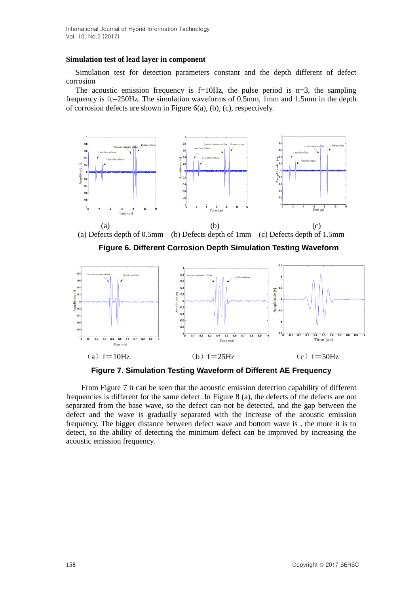#### **Simulation test of lead layer in component**

Simulation test for detection parameters constant and the depth different of defect corrosion

The acoustic emission frequency is  $f=10Hz$ , the pulse period is  $n=3$ , the sampling frequency is fc=250Hz. The simulation waveforms of 0.5mm, 1mm and 1.5mm in the depth of corrosion defects are shown in Figure 6(a), (b), (c), respectively.



(a)  $f=10$ Hz (b)  $f=25$ Hz (c)  $f=50$ Hz

**Figure 7. Simulation Testing Waveform of Different AE Frequency** 

From Figure 7 it can be seen that the acoustic emission detection capability of different frequencies is different for the same defect. In Figure 8 (a), the defects of the defects are not separated from the base wave, so the defect can not be detected, and the gap between the defect and the wave is gradually separated with the increase of the acoustic emission frequency. The bigger distance between defect wave and bottom wave is , the more it is to detect, so the ability of detecting the minimum defect can be improved by increasing the acoustic emission frequency.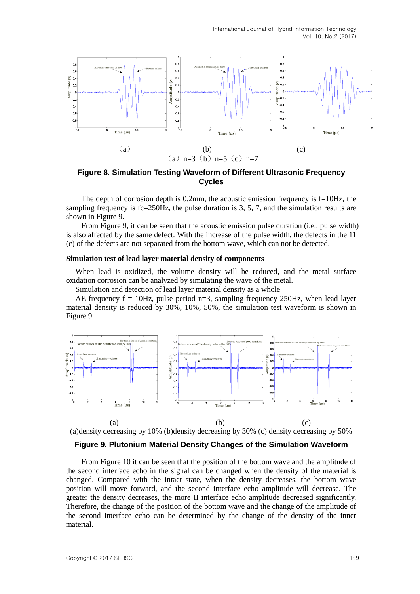

**Figure 8. Simulation Testing Waveform of Different Ultrasonic Frequency Cycles**

The depth of corrosion depth is 0.2mm, the acoustic emission frequency is f=10Hz, the sampling frequency is  $f_c=250Hz$ , the pulse duration is 3, 5, 7, and the simulation results are shown in Figure 9.

From Figure 9, it can be seen that the acoustic emission pulse duration (i.e., pulse width) is also affected by the same defect. With the increase of the pulse width, the defects in the 11 (c) of the defects are not separated from the bottom wave, which can not be detected.

#### **Simulation test of lead layer material density of components**

When lead is oxidized, the volume density will be reduced, and the metal surface oxidation corrosion can be analyzed by simulating the wave of the metal.

Simulation and detection of lead layer material density as a whole

AE frequency  $f = 10Hz$ , pulse period n=3, sampling frequency 250Hz, when lead layer material density is reduced by 30%, 10%, 50%, the simulation test waveform is shown in Figure 9.



#### **Figure 9. Plutonium Material Density Changes of the Simulation Waveform**

From Figure 10 it can be seen that the position of the bottom wave and the amplitude of the second interface echo in the signal can be changed when the density of the material is changed. Compared with the intact state, when the density decreases, the bottom wave position will move forward, and the second interface echo amplitude will decrease. The greater the density decreases, the more II interface echo amplitude decreased significantly. Therefore, the change of the position of the bottom wave and the change of the amplitude of the second interface echo can be determined by the change of the density of the inner material.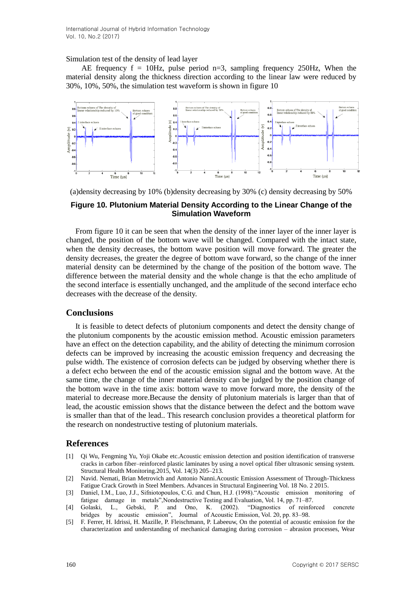Simulation test of the density of lead layer

AE frequency  $f = 10$ Hz, pulse period n=3, sampling frequency 250Hz, When the material density along the thickness direction according to the linear law were reduced by 30%, 10%, 50%, the simulation test waveform is shown in figure 10



(a)density decreasing by 10% (b)density decreasing by 30% (c) density decreasing by 50%

## **Figure 10. Plutonium Material Density According to the Linear Change of the Simulation Waveform**

From figure 10 it can be seen that when the density of the inner layer of the inner layer is changed, the position of the bottom wave will be changed. Compared with the intact state, when the density decreases, the bottom wave position will move forward. The greater the density decreases, the greater the degree of bottom wave forward, so the change of the inner material density can be determined by the change of the position of the bottom wave. The difference between the material density and the whole change is that the echo amplitude of the second interface is essentially unchanged, and the amplitude of the second interface echo decreases with the decrease of the density.

## **Conclusions**

It is feasible to detect defects of plutonium components and detect the density change of the plutonium components by the acoustic emission method. Acoustic emission parameters have an effect on the detection capability, and the ability of detecting the minimum corrosion defects can be improved by increasing the acoustic emission frequency and decreasing the pulse width. The existence of corrosion defects can be judged by observing whether there is a defect echo between the end of the acoustic emission signal and the bottom wave. At the same time, the change of the inner material density can be judged by the position change of the bottom wave in the time axis: bottom wave to move forward more, the density of the material to decrease more.Because the density of plutonium materials is larger than that of lead, the acoustic emission shows that the distance between the defect and the bottom wave is smaller than that of the lead.. This research conclusion provides a theoretical platform for the research on nondestructive testing of plutonium materials.

## **References**

- [1] Qi Wu, Fengming Yu, Yoji Okabe etc.Acoustic emission detection and position identification of transverse cracks in carbon fiber–reinforced plastic laminates by using a novel optical fiber ultrasonic sensing system. Structural Health Monitoring.2015, Vol. 14(3) 205–213.
- [2] Navid. Nemati, Brian Metrovich and Antonio Nanni.Acoustic Emission Assessment of Through-Thickness Fatigue Crack Growth in Steel Members. Advances in Structural Engineering Vol. 18 No. 2 2015.
- [3] Daniel, I.M., Luo, J.J., Sifniotopoulos, C.G. and Chun, H.J. (1998)."Acoustic emission monitoring of fatigue damage in metals",Nondestructive Testing and Evaluation, Vol. 14, pp. 71–87.
- [4] Golaski, L., Gebski, P. and Ono, K. (2002). "Diagnostics of reinforced concrete bridges by acoustic emission", Journal of Acoustic Emission, Vol. 20, pp. 83–98.
- [5] F. Ferrer, H. Idrissi, H. Mazille, P. Fleischmann, P. Labeeuw, On the potential of acoustic emission for the characterization and understanding of mechanical damaging during corrosion – abrasion processes, Wear